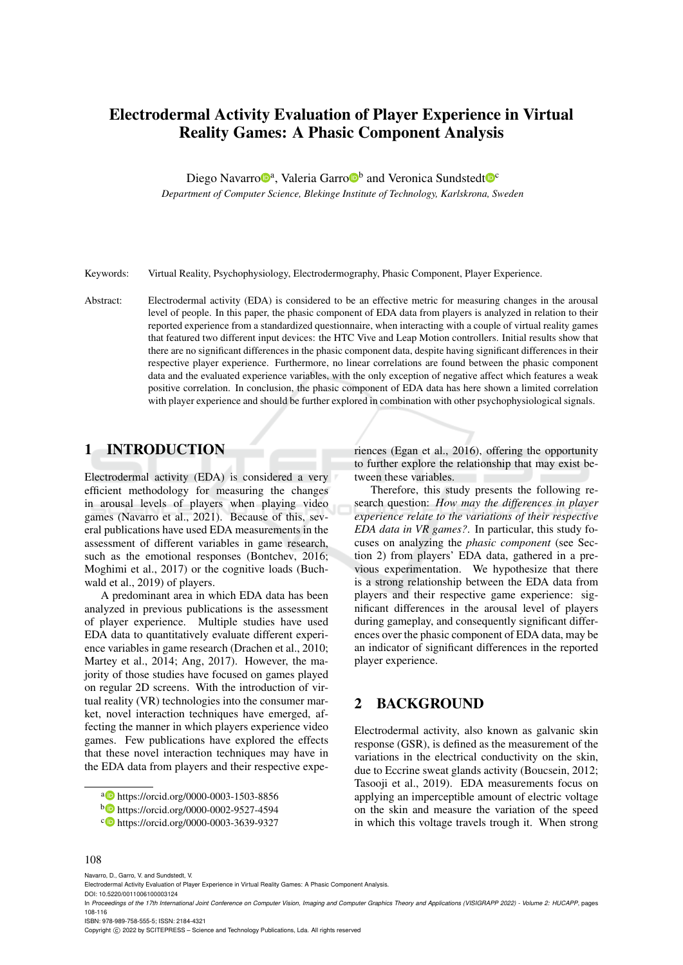# Electrodermal Activity Evaluation of Player Experience in Virtual Reality Games: A Phasic Component Analysis

Diego Navarro<sup>®</sup>, Valeria Garro<sup>®</sup> and Veronica Sundstedt<sup>®</sup>

*Department of Computer Science, Blekinge Institute of Technology, Karlskrona, Sweden*

Keywords: Virtual Reality, Psychophysiology, Electrodermography, Phasic Component, Player Experience.

Abstract: Electrodermal activity (EDA) is considered to be an effective metric for measuring changes in the arousal level of people. In this paper, the phasic component of EDA data from players is analyzed in relation to their reported experience from a standardized questionnaire, when interacting with a couple of virtual reality games that featured two different input devices: the HTC Vive and Leap Motion controllers. Initial results show that there are no significant differences in the phasic component data, despite having significant differences in their respective player experience. Furthermore, no linear correlations are found between the phasic component data and the evaluated experience variables, with the only exception of negative affect which features a weak positive correlation. In conclusion, the phasic component of EDA data has here shown a limited correlation with player experience and should be further explored in combination with other psychophysiological signals.

# 1 INTRODUCTION

Electrodermal activity (EDA) is considered a very efficient methodology for measuring the changes in arousal levels of players when playing video games (Navarro et al., 2021). Because of this, several publications have used EDA measurements in the assessment of different variables in game research, such as the emotional responses (Bontchev, 2016; Moghimi et al., 2017) or the cognitive loads (Buchwald et al., 2019) of players.

A predominant area in which EDA data has been analyzed in previous publications is the assessment of player experience. Multiple studies have used EDA data to quantitatively evaluate different experience variables in game research (Drachen et al., 2010; Martey et al., 2014; Ang, 2017). However, the majority of those studies have focused on games played on regular 2D screens. With the introduction of virtual reality (VR) technologies into the consumer market, novel interaction techniques have emerged, affecting the manner in which players experience video games. Few publications have explored the effects that these novel interaction techniques may have in the EDA data from players and their respective experiences (Egan et al., 2016), offering the opportunity to further explore the relationship that may exist between these variables.

Therefore, this study presents the following research question: *How may the differences in player experience relate to the variations of their respective EDA data in VR games?*. In particular, this study focuses on analyzing the *phasic component* (see Section 2) from players' EDA data, gathered in a previous experimentation. We hypothesize that there is a strong relationship between the EDA data from players and their respective game experience: significant differences in the arousal level of players during gameplay, and consequently significant differences over the phasic component of EDA data, may be an indicator of significant differences in the reported player experience.

# 2 BACKGROUND

Electrodermal activity, also known as galvanic skin response (GSR), is defined as the measurement of the variations in the electrical conductivity on the skin, due to Eccrine sweat glands activity (Boucsein, 2012; Tasooji et al., 2019). EDA measurements focus on applying an imperceptible amount of electric voltage on the skin and measure the variation of the speed in which this voltage travels trough it. When strong

#### 108

Navarro, D., Garro, V. and Sundstedt, V.

DOI: 10.5220/0011006100003124

ISBN: 978-989-758-555-5; ISSN: 2184-4321

Copyright © 2022 by SCITEPRESS - Science and Technology Publications, Lda. All rights reserved

<sup>a</sup> https://orcid.org/0000-0003-1503-8856

<sup>b</sup> https://orcid.org/0000-0002-9527-4594

<sup>c</sup> https://orcid.org/0000-0003-3639-9327

Electrodermal Activity Evaluation of Player Experience in Virtual Reality Games: A Phasic Component Analysis.

In *Proceedings of the 17th International Joint Conference on Computer Vision, Imaging and Computer Graphics Theory and Applications (VISIGRAPP 2022) - Volume 2: HUCAPP*, pages 108-116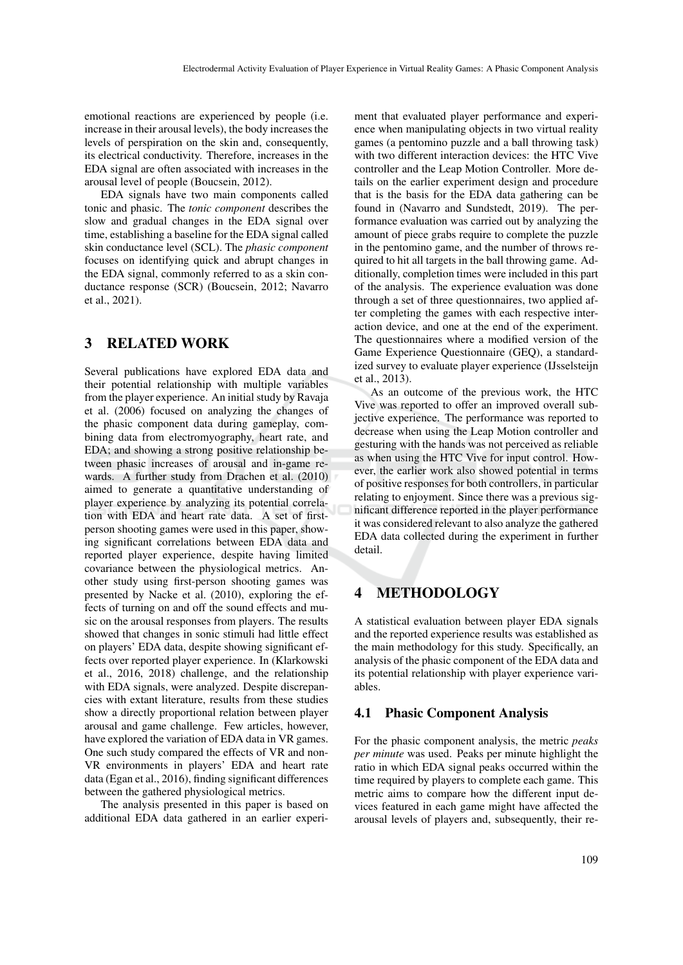emotional reactions are experienced by people (i.e. increase in their arousal levels), the body increases the levels of perspiration on the skin and, consequently, its electrical conductivity. Therefore, increases in the EDA signal are often associated with increases in the arousal level of people (Boucsein, 2012).

EDA signals have two main components called tonic and phasic. The *tonic component* describes the slow and gradual changes in the EDA signal over time, establishing a baseline for the EDA signal called skin conductance level (SCL). The *phasic component* focuses on identifying quick and abrupt changes in the EDA signal, commonly referred to as a skin conductance response (SCR) (Boucsein, 2012; Navarro et al., 2021).

# 3 RELATED WORK

Several publications have explored EDA data and their potential relationship with multiple variables from the player experience. An initial study by Ravaja et al. (2006) focused on analyzing the changes of the phasic component data during gameplay, combining data from electromyography, heart rate, and EDA; and showing a strong positive relationship between phasic increases of arousal and in-game rewards. A further study from Drachen et al. (2010) aimed to generate a quantitative understanding of player experience by analyzing its potential correlation with EDA and heart rate data. A set of firstperson shooting games were used in this paper, showing significant correlations between EDA data and reported player experience, despite having limited covariance between the physiological metrics. Another study using first-person shooting games was presented by Nacke et al. (2010), exploring the effects of turning on and off the sound effects and music on the arousal responses from players. The results showed that changes in sonic stimuli had little effect on players' EDA data, despite showing significant effects over reported player experience. In (Klarkowski et al., 2016, 2018) challenge, and the relationship with EDA signals, were analyzed. Despite discrepancies with extant literature, results from these studies show a directly proportional relation between player arousal and game challenge. Few articles, however, have explored the variation of EDA data in VR games. One such study compared the effects of VR and non-VR environments in players' EDA and heart rate data (Egan et al., 2016), finding significant differences between the gathered physiological metrics.

The analysis presented in this paper is based on additional EDA data gathered in an earlier experi-

ment that evaluated player performance and experience when manipulating objects in two virtual reality games (a pentomino puzzle and a ball throwing task) with two different interaction devices: the HTC Vive controller and the Leap Motion Controller. More details on the earlier experiment design and procedure that is the basis for the EDA data gathering can be found in (Navarro and Sundstedt, 2019). The performance evaluation was carried out by analyzing the amount of piece grabs require to complete the puzzle in the pentomino game, and the number of throws required to hit all targets in the ball throwing game. Additionally, completion times were included in this part of the analysis. The experience evaluation was done through a set of three questionnaires, two applied after completing the games with each respective interaction device, and one at the end of the experiment. The questionnaires where a modified version of the Game Experience Questionnaire (GEQ), a standardized survey to evaluate player experience (IJsselsteijn et al., 2013).

As an outcome of the previous work, the HTC Vive was reported to offer an improved overall subjective experience. The performance was reported to decrease when using the Leap Motion controller and gesturing with the hands was not perceived as reliable as when using the HTC Vive for input control. However, the earlier work also showed potential in terms of positive responses for both controllers, in particular relating to enjoyment. Since there was a previous significant difference reported in the player performance it was considered relevant to also analyze the gathered EDA data collected during the experiment in further detail.

# 4 METHODOLOGY

A statistical evaluation between player EDA signals and the reported experience results was established as the main methodology for this study. Specifically, an analysis of the phasic component of the EDA data and its potential relationship with player experience variables.

## 4.1 Phasic Component Analysis

For the phasic component analysis, the metric *peaks per minute* was used. Peaks per minute highlight the ratio in which EDA signal peaks occurred within the time required by players to complete each game. This metric aims to compare how the different input devices featured in each game might have affected the arousal levels of players and, subsequently, their re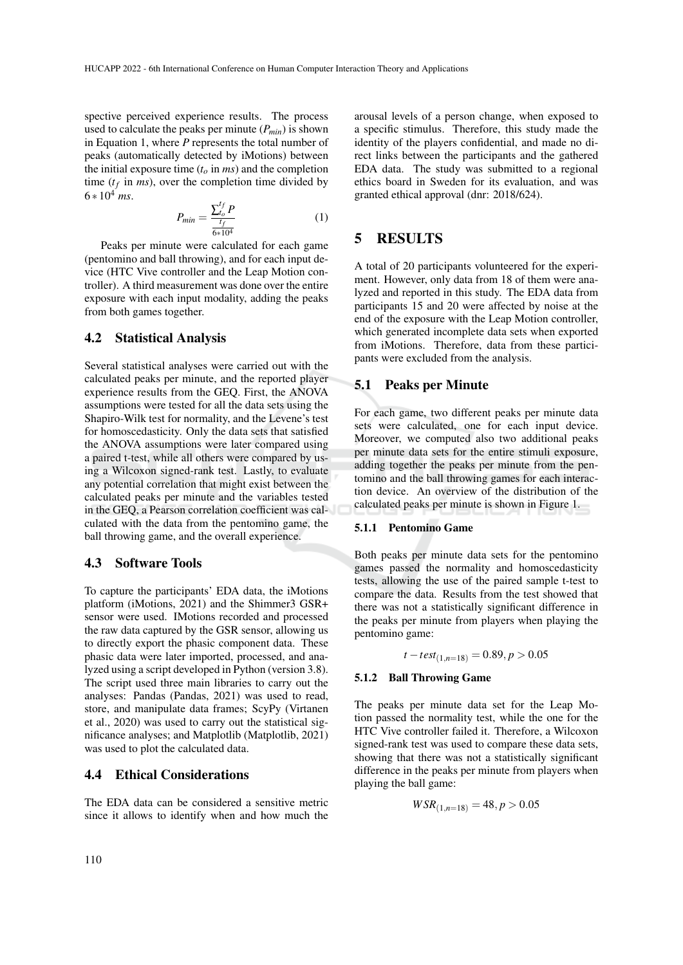spective perceived experience results. The process used to calculate the peaks per minute  $(P_{min})$  is shown in Equation 1, where *P* represents the total number of peaks (automatically detected by iMotions) between the initial exposure time  $(t<sub>o</sub>$  in  $ms)$  and the completion time  $(t_f$  in *ms*), over the completion time divided by  $6 * 10^4$  ms.

$$
P_{min} = \frac{\sum_{t_o}^{t_f} P}{\frac{t_f}{6 \times 10^4}}
$$
 (1)

Peaks per minute were calculated for each game (pentomino and ball throwing), and for each input device (HTC Vive controller and the Leap Motion controller). A third measurement was done over the entire exposure with each input modality, adding the peaks from both games together.

## 4.2 Statistical Analysis

Several statistical analyses were carried out with the calculated peaks per minute, and the reported player experience results from the GEQ. First, the ANOVA assumptions were tested for all the data sets using the Shapiro-Wilk test for normality, and the Levene's test for homoscedasticity. Only the data sets that satisfied the ANOVA assumptions were later compared using a paired t-test, while all others were compared by using a Wilcoxon signed-rank test. Lastly, to evaluate any potential correlation that might exist between the calculated peaks per minute and the variables tested in the GEQ, a Pearson correlation coefficient was calculated with the data from the pentomino game, the ball throwing game, and the overall experience.

## 4.3 Software Tools

To capture the participants' EDA data, the iMotions platform (iMotions, 2021) and the Shimmer3 GSR+ sensor were used. IMotions recorded and processed the raw data captured by the GSR sensor, allowing us to directly export the phasic component data. These phasic data were later imported, processed, and analyzed using a script developed in Python (version 3.8). The script used three main libraries to carry out the analyses: Pandas (Pandas, 2021) was used to read, store, and manipulate data frames; ScyPy (Virtanen et al., 2020) was used to carry out the statistical significance analyses; and Matplotlib (Matplotlib, 2021) was used to plot the calculated data.

## 4.4 Ethical Considerations

The EDA data can be considered a sensitive metric since it allows to identify when and how much the

arousal levels of a person change, when exposed to a specific stimulus. Therefore, this study made the identity of the players confidential, and made no direct links between the participants and the gathered EDA data. The study was submitted to a regional ethics board in Sweden for its evaluation, and was granted ethical approval (dnr: 2018/624).

## 5 RESULTS

A total of 20 participants volunteered for the experiment. However, only data from 18 of them were analyzed and reported in this study. The EDA data from participants 15 and 20 were affected by noise at the end of the exposure with the Leap Motion controller, which generated incomplete data sets when exported from iMotions. Therefore, data from these participants were excluded from the analysis.

## 5.1 Peaks per Minute

For each game, two different peaks per minute data sets were calculated, one for each input device. Moreover, we computed also two additional peaks per minute data sets for the entire stimuli exposure, adding together the peaks per minute from the pentomino and the ball throwing games for each interaction device. An overview of the distribution of the calculated peaks per minute is shown in Figure 1.

#### 5.1.1 Pentomino Game

Both peaks per minute data sets for the pentomino games passed the normality and homoscedasticity tests, allowing the use of the paired sample t-test to compare the data. Results from the test showed that there was not a statistically significant difference in the peaks per minute from players when playing the pentomino game:

 $t - test_{(1, n=18)} = 0.89, p > 0.05$ 

#### 5.1.2 Ball Throwing Game

The peaks per minute data set for the Leap Motion passed the normality test, while the one for the HTC Vive controller failed it. Therefore, a Wilcoxon signed-rank test was used to compare these data sets, showing that there was not a statistically significant difference in the peaks per minute from players when playing the ball game:

$$
WSR_{(1,n=18)} = 48, p > 0.05
$$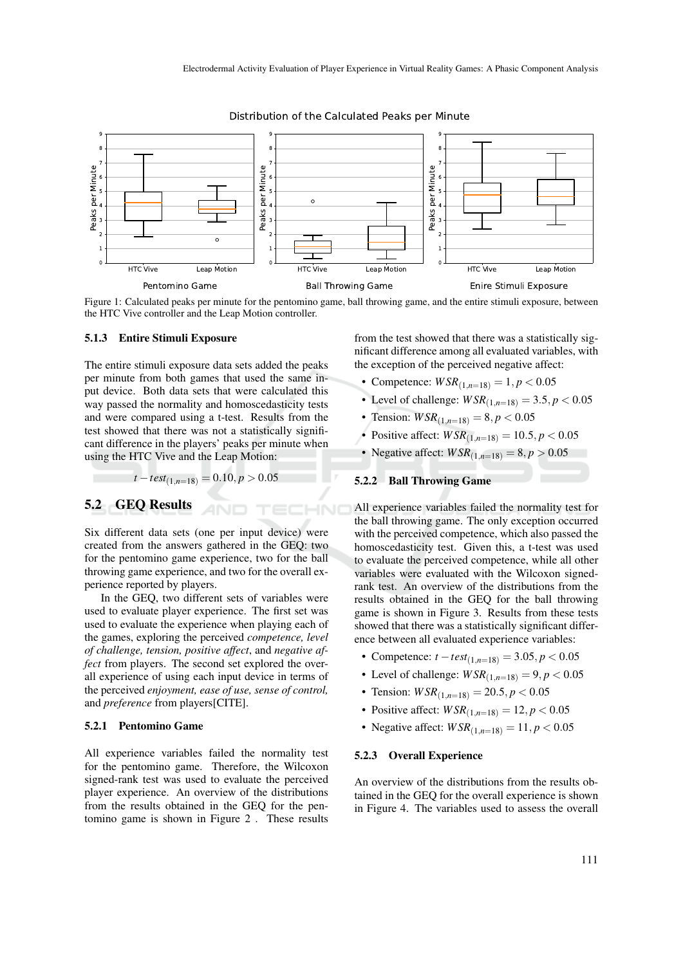

Distribution of the Calculated Peaks per Minute

Figure 1: Calculated peaks per minute for the pentomino game, ball throwing game, and the entire stimuli exposure, between the HTC Vive controller and the Leap Motion controller.

IHNO

#### 5.1.3 Entire Stimuli Exposure

The entire stimuli exposure data sets added the peaks per minute from both games that used the same input device. Both data sets that were calculated this way passed the normality and homoscedasticity tests and were compared using a t-test. Results from the test showed that there was not a statistically significant difference in the players' peaks per minute when using the HTC Vive and the Leap Motion:

$$
t - test_{(1, n=18)} = 0.10, p > 0.05
$$

# 5.2 GEQ Results

Six different data sets (one per input device) were created from the answers gathered in the GEQ: two for the pentomino game experience, two for the ball throwing game experience, and two for the overall experience reported by players.

In the GEQ, two different sets of variables were used to evaluate player experience. The first set was used to evaluate the experience when playing each of the games, exploring the perceived *competence, level of challenge, tension, positive affect*, and *negative affect* from players. The second set explored the overall experience of using each input device in terms of the perceived *enjoyment, ease of use, sense of control,* and *preference* from players[CITE].

#### 5.2.1 Pentomino Game

All experience variables failed the normality test for the pentomino game. Therefore, the Wilcoxon signed-rank test was used to evaluate the perceived player experience. An overview of the distributions from the results obtained in the GEQ for the pentomino game is shown in Figure 2 . These results

from the test showed that there was a statistically significant difference among all evaluated variables, with the exception of the perceived negative affect:

- Competence:  $WSR_{(1,n=18)} = 1, p < 0.05$
- Level of challenge:  $WSR_{(1, n=18)} = 3.5, p < 0.05$
- Tension:  $WSR_{(1,n=18)} = 8, p < 0.05$
- Positive affect:  $WSR_{(1,n=18)} = 10.5, p < 0.05$
- Negative affect:  $WSR_{(1,n=18)} = 8, p > 0.05$

# 5.2.2 Ball Throwing Game

All experience variables failed the normality test for the ball throwing game. The only exception occurred with the perceived competence, which also passed the homoscedasticity test. Given this, a t-test was used to evaluate the perceived competence, while all other variables were evaluated with the Wilcoxon signedrank test. An overview of the distributions from the results obtained in the GEQ for the ball throwing game is shown in Figure 3. Results from these tests showed that there was a statistically significant difference between all evaluated experience variables:

- Competence: *t* −*test*(1,*n*=18) = 3.05, *p* < 0.05
- Level of challenge:  $WSR_{(1, n=18)} = 9, p < 0.05$
- Tension:  $WSR_{(1,n=18)} = 20.5, p < 0.05$
- Positive affect:  $WSR_{(1, n=18)} = 12, p < 0.05$
- Negative affect:  $WSR_{(1,n=18)} = 11, p < 0.05$

#### 5.2.3 Overall Experience

An overview of the distributions from the results obtained in the GEQ for the overall experience is shown in Figure 4. The variables used to assess the overall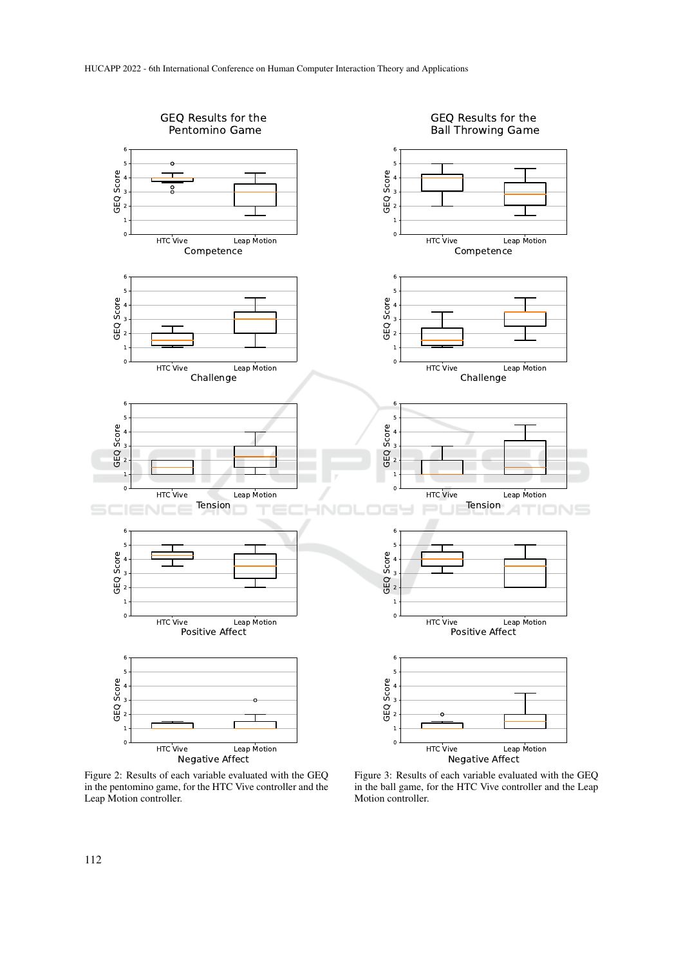

Figure 2: Results of each variable evaluated with the GEQ in the pentomino game, for the HTC Vive controller and the Leap Motion controller.

Figure 3: Results of each variable evaluated with the GEQ in the ball game, for the HTC Vive controller and the Leap Motion controller.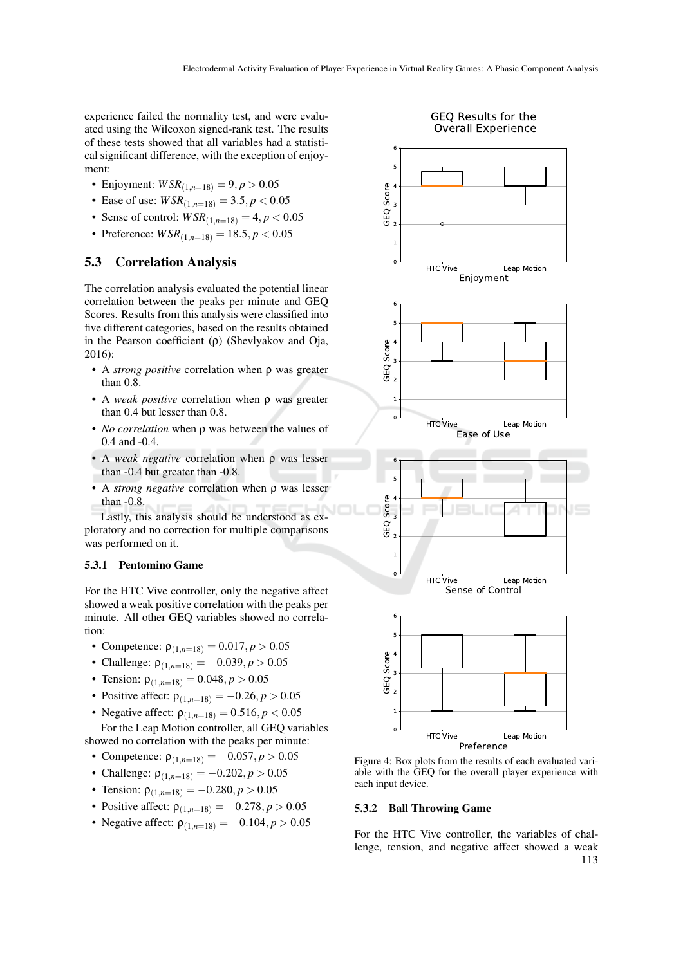experience failed the normality test, and were evaluated using the Wilcoxon signed-rank test. The results of these tests showed that all variables had a statistical significant difference, with the exception of enjoyment:

- Enjoyment:  $WSR_{(1, n=18)} = 9, p > 0.05$
- Ease of use:  $WSR_{(1,n=18)} = 3.5, p < 0.05$
- Sense of control:  $WSR_{(1,n=18)} = 4, p < 0.05$
- Preference:  $WSR_{(1, n=18)} = 18.5, p < 0.05$

## 5.3 Correlation Analysis

The correlation analysis evaluated the potential linear correlation between the peaks per minute and GEQ Scores. Results from this analysis were classified into five different categories, based on the results obtained in the Pearson coefficient (ρ) (Shevlyakov and Oja, 2016):

- A *strong positive* correlation when ρ was greater than 0.8.
- A *weak positive* correlation when ρ was greater than 0.4 but lesser than 0.8.
- *No correlation* when ρ was between the values of 0.4 and -0.4.
- A *weak negative* correlation when ρ was lesser than -0.4 but greater than -0.8.
- A *strong negative* correlation when ρ was lesser than -0.8.

Lastly, this analysis should be understood as exploratory and no correction for multiple comparisons was performed on it.

#### 5.3.1 Pentomino Game

For the HTC Vive controller, only the negative affect showed a weak positive correlation with the peaks per minute. All other GEQ variables showed no correlation:

- Competence:  $ρ_{(1, n=18)} = 0.017, p > 0.05$
- Challenge:  $\rho_{(1,n=18)} = -0.039, p > 0.05$
- Tension:  $\rho_{(1,n=18)} = 0.048, p > 0.05$
- Positive affect:  $\rho_{(1,n=18)} = -0.26, p > 0.05$
- Negative affect:  $\rho_{(1, n=18)} = 0.516, p < 0.05$

For the Leap Motion controller, all GEQ variables showed no correlation with the peaks per minute:

- Competence:  $\rho_{(1,n=18)} = -0.057, p > 0.05$
- Challenge:  $\rho_{(1,n=18)} = -0.202, p > 0.05$
- Tension:  $\rho_{(1,n=18)} = -0.280, p > 0.05$
- Positive affect:  $\rho_{(1,n=18)} = -0.278, p > 0.05$
- Negative affect:  $\rho_{(1,n=18)} = -0.104, p > 0.05$



Figure 4: Box plots from the results of each evaluated variable with the GEQ for the overall player experience with each input device.

#### 5.3.2 Ball Throwing Game

For the HTC Vive controller, the variables of challenge, tension, and negative affect showed a weak 113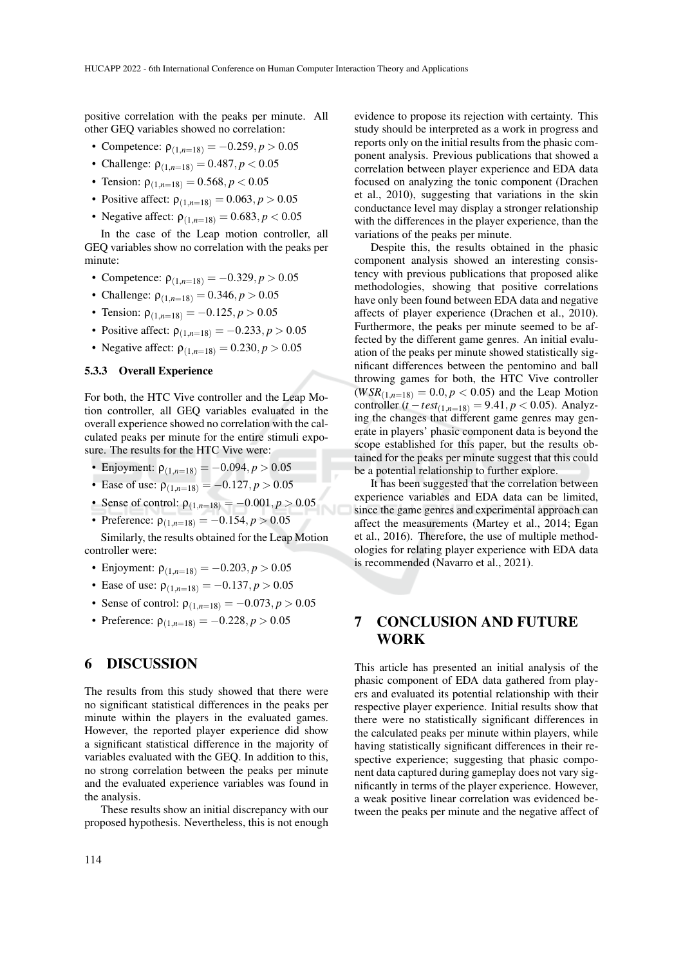positive correlation with the peaks per minute. All other GEQ variables showed no correlation:

- Competence:  $\rho_{(1,n=18)} = -0.259, p > 0.05$
- Challenge:  $\rho_{(1,n=18)} = 0.487, p < 0.05$
- Tension:  $ρ_{(1, n=18)} = 0.568, p < 0.05$
- Positive affect:  $\rho_{(1,n=18)} = 0.063, p > 0.05$
- Negative affect:  $\rho_{(1,n=18)} = 0.683, p < 0.05$

In the case of the Leap motion controller, all GEQ variables show no correlation with the peaks per minute:

- Competence:  $\rho_{(1,n=18)} = -0.329, p > 0.05$
- Challenge:  $\rho_{(1,n=18)} = 0.346, p > 0.05$
- Tension:  $\rho_{(1,n=18)} = -0.125, p > 0.05$
- Positive affect:  $\rho_{(1,n=18)} = -0.233, p > 0.05$
- Negative affect:  $\rho_{(1, n=18)} = 0.230, p > 0.05$

## 5.3.3 Overall Experience

For both, the HTC Vive controller and the Leap Motion controller, all GEQ variables evaluated in the overall experience showed no correlation with the calculated peaks per minute for the entire stimuli exposure. The results for the HTC Vive were:

- Enjoyment:  $\rho_{(1,n=18)} = -0.094, p > 0.05$
- Ease of use:  $\rho_{(1,n=18)} = -0.127, p > 0.05$
- Sense of control:  $\rho_{(1,n=18)} = -0.001, p > 0.05$
- Preference:  $\rho_{(1,n=18)} = -0.154, p > 0.05$

Similarly, the results obtained for the Leap Motion controller were:

- Enjoyment:  $\rho_{(1,n=18)} = -0.203, p > 0.05$
- Ease of use:  $\rho_{(1, n=18)} = -0.137, p > 0.05$
- Sense of control:  $\rho_{(1,n=18)} = -0.073, p > 0.05$
- Preference:  $ρ_{(1,n=18)} = -0.228, p > 0.05$

## 6 DISCUSSION

The results from this study showed that there were no significant statistical differences in the peaks per minute within the players in the evaluated games. However, the reported player experience did show a significant statistical difference in the majority of variables evaluated with the GEQ. In addition to this, no strong correlation between the peaks per minute and the evaluated experience variables was found in the analysis.

These results show an initial discrepancy with our proposed hypothesis. Nevertheless, this is not enough

evidence to propose its rejection with certainty. This study should be interpreted as a work in progress and reports only on the initial results from the phasic component analysis. Previous publications that showed a correlation between player experience and EDA data focused on analyzing the tonic component (Drachen et al., 2010), suggesting that variations in the skin conductance level may display a stronger relationship with the differences in the player experience, than the variations of the peaks per minute.

Despite this, the results obtained in the phasic component analysis showed an interesting consistency with previous publications that proposed alike methodologies, showing that positive correlations have only been found between EDA data and negative affects of player experience (Drachen et al., 2010). Furthermore, the peaks per minute seemed to be affected by the different game genres. An initial evaluation of the peaks per minute showed statistically significant differences between the pentomino and ball throwing games for both, the HTC Vive controller  $(WSR_{(1,n=18)} = 0.0, p < 0.05)$  and the Leap Motion controller  $(t - test_{(1,n=18)} = 9.41, p < 0.05)$ . Analyzing the changes that different game genres may generate in players' phasic component data is beyond the scope established for this paper, but the results obtained for the peaks per minute suggest that this could be a potential relationship to further explore.

It has been suggested that the correlation between experience variables and EDA data can be limited, since the game genres and experimental approach can affect the measurements (Martey et al., 2014; Egan et al., 2016). Therefore, the use of multiple methodologies for relating player experience with EDA data is recommended (Navarro et al., 2021).

# 7 CONCLUSION AND FUTURE WORK

This article has presented an initial analysis of the phasic component of EDA data gathered from players and evaluated its potential relationship with their respective player experience. Initial results show that there were no statistically significant differences in the calculated peaks per minute within players, while having statistically significant differences in their respective experience; suggesting that phasic component data captured during gameplay does not vary significantly in terms of the player experience. However, a weak positive linear correlation was evidenced between the peaks per minute and the negative affect of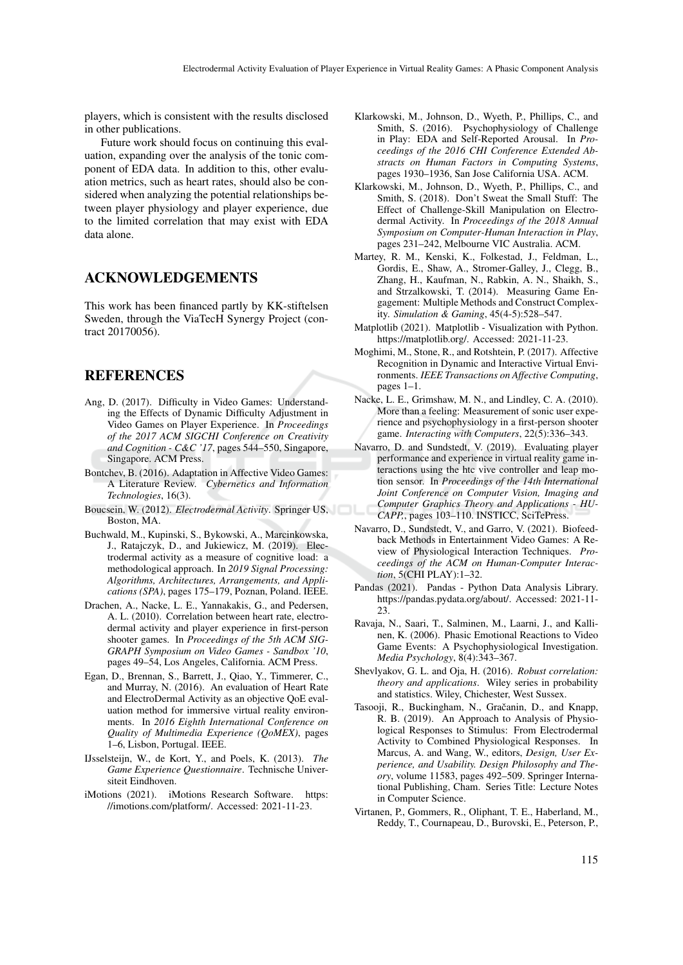players, which is consistent with the results disclosed in other publications.

Future work should focus on continuing this evaluation, expanding over the analysis of the tonic component of EDA data. In addition to this, other evaluation metrics, such as heart rates, should also be considered when analyzing the potential relationships between player physiology and player experience, due to the limited correlation that may exist with EDA data alone.

## ACKNOWLEDGEMENTS

This work has been financed partly by KK-stiftelsen Sweden, through the ViaTecH Synergy Project (contract 20170056).

## REFERENCES

- Ang, D. (2017). Difficulty in Video Games: Understanding the Effects of Dynamic Difficulty Adjustment in Video Games on Player Experience. In *Proceedings of the 2017 ACM SIGCHI Conference on Creativity and Cognition - C&C '17*, pages 544–550, Singapore, Singapore. ACM Press.
- Bontchev, B. (2016). Adaptation in Affective Video Games: A Literature Review. *Cybernetics and Information Technologies*, 16(3).
- Boucsein, W. (2012). *Electrodermal Activity*. Springer US, Boston, MA.
- Buchwald, M., Kupinski, S., Bykowski, A., Marcinkowska, J., Ratajczyk, D., and Jukiewicz, M. (2019). Electrodermal activity as a measure of cognitive load: a methodological approach. In *2019 Signal Processing: Algorithms, Architectures, Arrangements, and Applications (SPA)*, pages 175–179, Poznan, Poland. IEEE.
- Drachen, A., Nacke, L. E., Yannakakis, G., and Pedersen, A. L. (2010). Correlation between heart rate, electrodermal activity and player experience in first-person shooter games. In *Proceedings of the 5th ACM SIG-GRAPH Symposium on Video Games - Sandbox '10*, pages 49–54, Los Angeles, California. ACM Press.
- Egan, D., Brennan, S., Barrett, J., Qiao, Y., Timmerer, C., and Murray, N. (2016). An evaluation of Heart Rate and ElectroDermal Activity as an objective QoE evaluation method for immersive virtual reality environments. In *2016 Eighth International Conference on Quality of Multimedia Experience (QoMEX)*, pages 1–6, Lisbon, Portugal. IEEE.
- IJsselsteijn, W., de Kort, Y., and Poels, K. (2013). *The Game Experience Questionnaire*. Technische Universiteit Eindhoven.
- iMotions (2021). iMotions Research Software. https: //imotions.com/platform/. Accessed: 2021-11-23.
- Klarkowski, M., Johnson, D., Wyeth, P., Phillips, C., and Smith, S. (2016). Psychophysiology of Challenge in Play: EDA and Self-Reported Arousal. In *Proceedings of the 2016 CHI Conference Extended Abstracts on Human Factors in Computing Systems*, pages 1930–1936, San Jose California USA. ACM.
- Klarkowski, M., Johnson, D., Wyeth, P., Phillips, C., and Smith, S. (2018). Don't Sweat the Small Stuff: The Effect of Challenge-Skill Manipulation on Electrodermal Activity. In *Proceedings of the 2018 Annual Symposium on Computer-Human Interaction in Play*, pages 231–242, Melbourne VIC Australia. ACM.
- Martey, R. M., Kenski, K., Folkestad, J., Feldman, L., Gordis, E., Shaw, A., Stromer-Galley, J., Clegg, B., Zhang, H., Kaufman, N., Rabkin, A. N., Shaikh, S., and Strzalkowski, T. (2014). Measuring Game Engagement: Multiple Methods and Construct Complexity. *Simulation & Gaming*, 45(4-5):528–547.
- Matplotlib (2021). Matplotlib Visualization with Python. https://matplotlib.org/. Accessed: 2021-11-23.
- Moghimi, M., Stone, R., and Rotshtein, P. (2017). Affective Recognition in Dynamic and Interactive Virtual Environments. *IEEE Transactions on Affective Computing*, pages 1–1.
- Nacke, L. E., Grimshaw, M. N., and Lindley, C. A. (2010). More than a feeling: Measurement of sonic user experience and psychophysiology in a first-person shooter game. *Interacting with Computers*, 22(5):336–343.
- Navarro, D. and Sundstedt, V. (2019). Evaluating player performance and experience in virtual reality game interactions using the htc vive controller and leap motion sensor. In *Proceedings of the 14th International Joint Conference on Computer Vision, Imaging and Computer Graphics Theory and Applications - HU-CAPP,*, pages 103–110. INSTICC, SciTePress.
- Navarro, D., Sundstedt, V., and Garro, V. (2021). Biofeedback Methods in Entertainment Video Games: A Review of Physiological Interaction Techniques. *Proceedings of the ACM on Human-Computer Interaction*, 5(CHI PLAY):1–32.
- Pandas (2021). Pandas Python Data Analysis Library. https://pandas.pydata.org/about/. Accessed: 2021-11- 23.
- Ravaja, N., Saari, T., Salminen, M., Laarni, J., and Kallinen, K. (2006). Phasic Emotional Reactions to Video Game Events: A Psychophysiological Investigation. *Media Psychology*, 8(4):343–367.
- Shevlyakov, G. L. and Oja, H. (2016). *Robust correlation: theory and applications*. Wiley series in probability and statistics. Wiley, Chichester, West Sussex.
- Tasooji, R., Buckingham, N., Gračanin, D., and Knapp, R. B. (2019). An Approach to Analysis of Physiological Responses to Stimulus: From Electrodermal Activity to Combined Physiological Responses. In Marcus, A. and Wang, W., editors, *Design, User Experience, and Usability. Design Philosophy and Theory*, volume 11583, pages 492–509. Springer International Publishing, Cham. Series Title: Lecture Notes in Computer Science.
- Virtanen, P., Gommers, R., Oliphant, T. E., Haberland, M., Reddy, T., Cournapeau, D., Burovski, E., Peterson, P.,